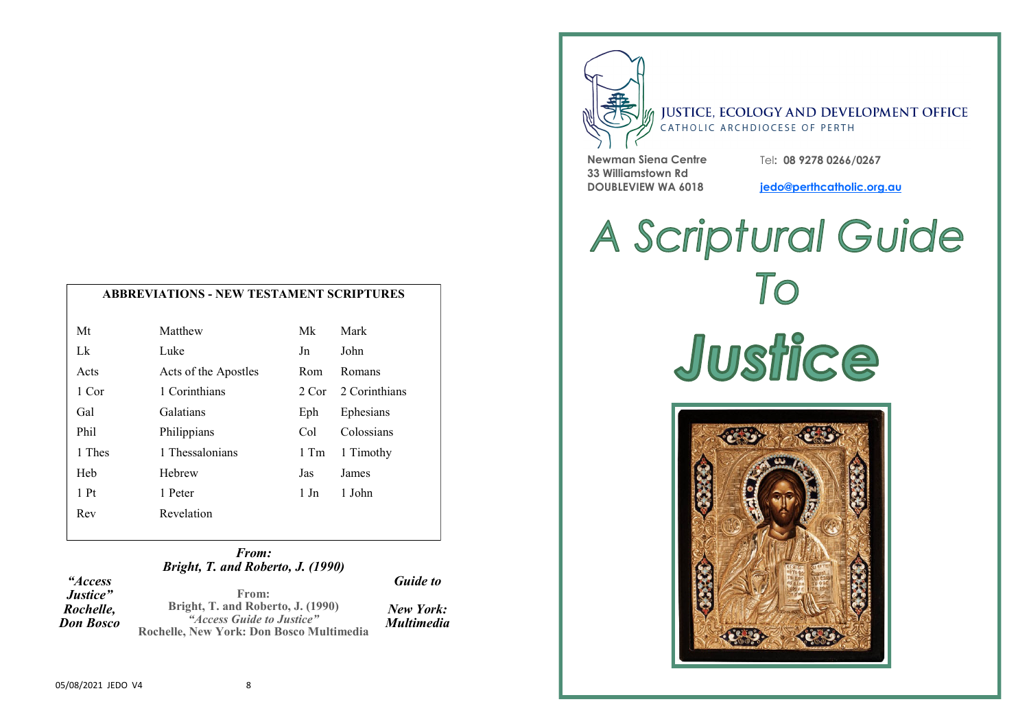|  | <b>ABBREVIATIONS - NEW TESTAMENT SCRIPTURES</b> |
|--|-------------------------------------------------|
|--|-------------------------------------------------|

| Mt              | Matthew              | Mk             | Mark          |
|-----------------|----------------------|----------------|---------------|
| Lk              | Luke                 | Jn             | John          |
| Acts            | Acts of the Apostles | Rom            | Romans        |
| 1 Cor           | 1 Corinthians        | 2. Cor         | 2 Corinthians |
| Gal             | Galatians            | Eph            | Ephesians     |
| Phil            | Philippians          | Col            | Colossians    |
| 1 Thes          | 1 Thessalonians      | 1 Tm           | 1 Timothy     |
| Heb             | Hebrew               | Jas            | James         |
| 1P <sub>t</sub> | 1 Peter              | $1 \text{ Jn}$ | 1 John        |
| Rev             | Revelation           |                |               |

#### *From: Bright, T. and Roberto, J. (1990)*

| <i>"Access</i>   |                                          | <b>Guide to</b>   |
|------------------|------------------------------------------|-------------------|
| <i>Justice</i> " | From:                                    |                   |
| Rochelle,        | Bright, T. and Roberto, J. (1990)        | New York:         |
| Don Bosco        | "Access Guide to Justice"                | <b>Multimedia</b> |
|                  | Rochelle, New York: Don Bosco Multimedia |                   |



### **JUSTICE, ECOLOGY AND DEVELOPMENT OFFICE** CATHOLIC ARCHDIOCESE OF PERTH

**Newman Siena Centre 33 Williamstown Rd DOUBLEVIEW WA 6018**

Tel**: 08 9278 0266/0267** 

**jedo@perthcatholic.org.au**

# A Scriptural Guide To Justice

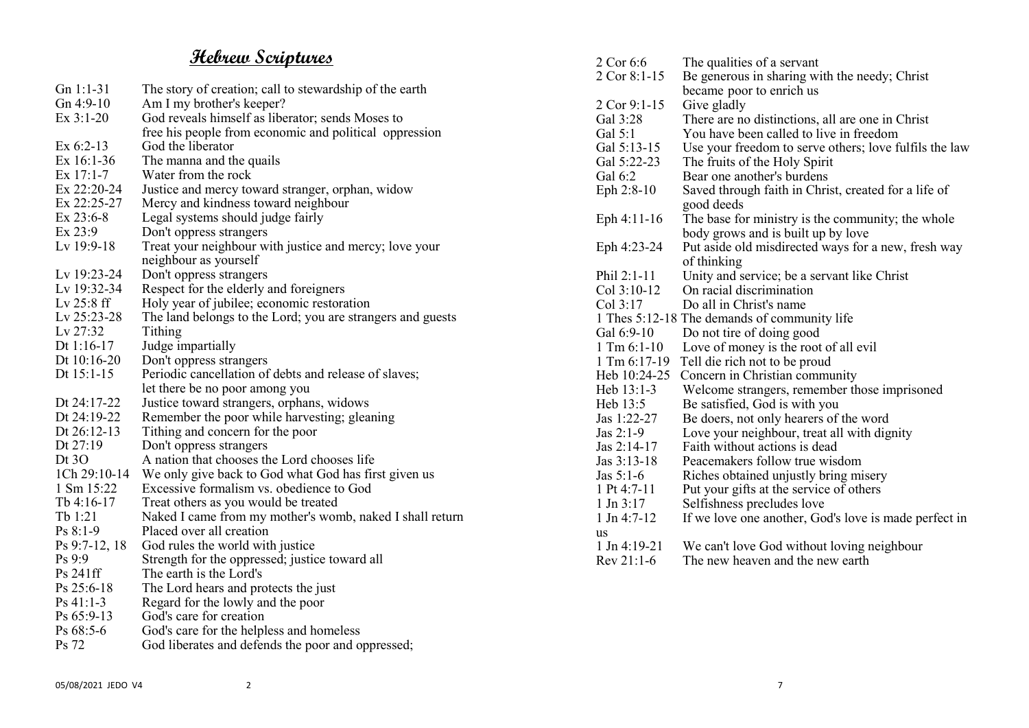## **Hebrew Scriptures**

| $Gn 1:1-31$   | The story of creation; call to stewardship of the earth    |
|---------------|------------------------------------------------------------|
| Gn 4:9-10     | Am I my brother's keeper?                                  |
| $Ex$ 3:1-20   | God reveals himself as liberator; sends Moses to           |
|               | free his people from economic and political oppression     |
| Ex 6:2-13     | God the liberator                                          |
| Ex 16:1-36    | The manna and the quails                                   |
| Ex 17:1-7     | Water from the rock                                        |
| Ex 22:20-24   | Justice and mercy toward stranger, orphan, widow           |
| Ex 22:25-27   | Mercy and kindness toward neighbour                        |
| Ex 23:6-8     | Legal systems should judge fairly                          |
| Ex 23:9       | Don't oppress strangers                                    |
| Lv 19:9-18    | Treat your neighbour with justice and mercy; love your     |
|               | neighbour as yourself                                      |
| Lv 19:23-24   | Don't oppress strangers                                    |
| Lv 19:32-34   | Respect for the elderly and foreigners                     |
| Lv 25:8 ff    | Holy year of jubilee; economic restoration                 |
| Lv 25:23-28   | The land belongs to the Lord; you are strangers and guests |
| Lv 27:32      | Tithing                                                    |
| Dt $1:16-17$  | Judge impartially                                          |
| Dt 10:16-20   | Don't oppress strangers                                    |
| Dt 15:1-15    | Periodic cancellation of debts and release of slaves;      |
|               | let there be no poor among you                             |
| Dt 24:17-22   | Justice toward strangers, orphans, widows                  |
| Dt 24:19-22   | Remember the poor while harvesting; gleaning               |
| Dt $26:12-13$ | Tithing and concern for the poor                           |
| Dt 27:19      | Don't oppress strangers                                    |
| Dt $3O$       | A nation that chooses the Lord chooses life                |
| 1Ch 29:10-14  | We only give back to God what God has first given us       |
| 1 Sm 15:22    | Excessive formalism vs. obedience to God                   |
| Tb 4:16-17    | Treat others as you would be treated                       |
| Tb 1:21       | Naked I came from my mother's womb, naked I shall return   |
| $Ps 8:1-9$    | Placed over all creation                                   |
| Ps 9:7-12, 18 | God rules the world with justice                           |
| Ps 9:9        | Strength for the oppressed; justice toward all             |
| Ps 241ff      | The earth is the Lord's                                    |
| Ps 25:6-18    | The Lord hears and protects the just                       |
| $Ps 41:1-3$   | Regard for the lowly and the poor                          |
| Ps 65:9-13    | God's care for creation                                    |
| Ps 68:5-6     | God's care for the helpless and homeless                   |
| Ps 72         | God liberates and defends the poor and oppressed;          |
|               |                                                            |

| 2 Cor 6:6             | The qualities of a servant                             |
|-----------------------|--------------------------------------------------------|
| 2 Cor 8:1-15          | Be generous in sharing with the needy; Christ          |
|                       | became poor to enrich us                               |
| 2 Cor 9:1-15          | Give gladly                                            |
| Gal 3:28              | There are no distinctions, all are one in Christ       |
| Gal 5:1               | You have been called to live in freedom                |
| Gal 5:13-15           | Use your freedom to serve others; love fulfils the law |
| Gal 5:22-23           | The fruits of the Holy Spirit                          |
| Gal 6:2               | Bear one another's burdens                             |
| Eph 2:8-10            | Saved through faith in Christ, created for a life of   |
|                       | good deeds                                             |
| Eph 4:11-16           | The base for ministry is the community; the whole      |
|                       | body grows and is built up by love                     |
| Eph 4:23-24           | Put aside old misdirected ways for a new, fresh way    |
|                       | of thinking                                            |
| Phil 2:1-11           | Unity and service; be a servant like Christ            |
| Col 3:10-12           | On racial discrimination                               |
| Col 3:17              | Do all in Christ's name                                |
|                       | 1 Thes 5:12-18 The demands of community life           |
| Gal 6:9-10            | Do not tire of doing good                              |
| $1 \text{ Tm} 6:1-10$ | Love of money is the root of all evil                  |
| 1 Tm 6:17-19          | Tell die rich not to be proud                          |
| Heb 10:24-25          | Concern in Christian community                         |
| Heb 13:1-3            | Welcome strangers, remember those imprisoned           |
| Heb 13:5              | Be satisfied, God is with you                          |
| Jas 1:22-27           | Be doers, not only hearers of the word                 |
| Jas $2:1-9$           | Love your neighbour, treat all with dignity            |
| Jas 2:14-17           | Faith without actions is dead                          |
| Jas 3:13-18           | Peacemakers follow true wisdom                         |
| Jas $5:1-6$           | Riches obtained unjustly bring misery                  |
| 1 Pt 4:7-11           | Put your gifts at the service of others                |
| $1 \text{ Jn } 3:17$  | Selfishness precludes love                             |
| 1 Jn 4:7-12           | If we love one another, God's love is made perfect in  |
| us                    |                                                        |
| $1$ Jn 4:19-21        | We can't love God without loving neighbour             |
| Rev 21:1-6            | The new heaven and the new earth                       |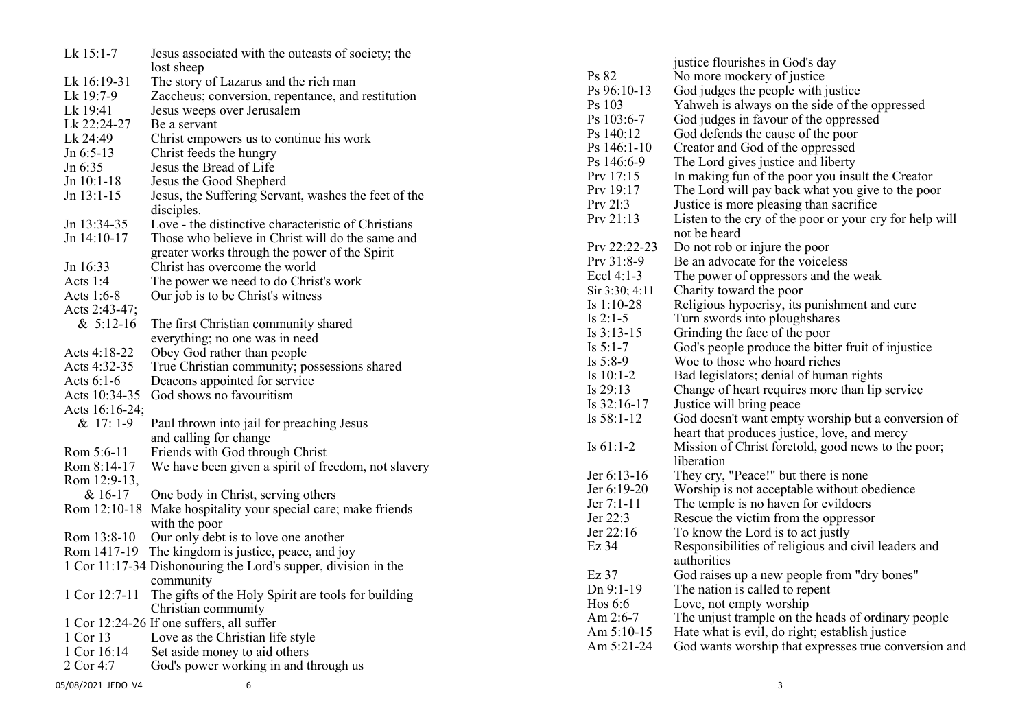| Lk 15:1-7      | Jesus associated with the outcasts of society; the             |
|----------------|----------------------------------------------------------------|
|                | lost sheep                                                     |
| Lk 16:19-31    | The story of Lazarus and the rich man                          |
| Lk 19:7-9      | Zaccheus; conversion, repentance, and restitution              |
| Lk 19:41       | Jesus weeps over Jerusalem                                     |
| Lk 22:24-27    | Be a servant                                                   |
| Lk 24:49       | Christ empowers us to continue his work                        |
| Jn 6:5-13      | Christ feeds the hungry                                        |
| Jn 6:35        | Jesus the Bread of Life                                        |
| Jn 10:1-18     | Jesus the Good Shepherd                                        |
| Jn 13:1-15     | Jesus, the Suffering Servant, washes the feet of the           |
|                | disciples.                                                     |
| Jn 13:34-35    | Love - the distinctive characteristic of Christians            |
| Jn 14:10-17    | Those who believe in Christ will do the same and               |
|                | greater works through the power of the Spirit                  |
| Jn 16:33       | Christ has overcome the world                                  |
| Acts 1:4       | The power we need to do Christ's work                          |
| Acts 1:6-8     | Our job is to be Christ's witness                              |
| Acts 2:43-47;  |                                                                |
| $& 5:12-16$    | The first Christian community shared                           |
|                | everything; no one was in need                                 |
| Acts 4:18-22   | Obey God rather than people                                    |
| Acts 4:32-35   | True Christian community; possessions shared                   |
| Acts 6:1-6     | Deacons appointed for service                                  |
| Acts 10:34-35  | God shows no favouritism                                       |
| Acts 16:16-24; |                                                                |
| & 17:1-9       | Paul thrown into jail for preaching Jesus                      |
|                | and calling for change                                         |
| Rom 5:6-11     | Friends with God through Christ                                |
| Rom 8:14-17    | We have been given a spirit of freedom, not slavery            |
| Rom 12:9-13,   |                                                                |
| & 16-17        | One body in Christ, serving others                             |
| Rom 12:10-18   | Make hospitality your special care; make friends               |
|                | with the poor                                                  |
| Rom 13:8-10    | Our only debt is to love one another                           |
| Rom 1417-19    | The kingdom is justice, peace, and joy                         |
|                | 1 Cor 11:17-34 Dishonouring the Lord's supper, division in the |
|                | community                                                      |
| 1 Cor 12:7-11  | The gifts of the Holy Spirit are tools for building            |
|                | Christian community                                            |
|                | 1 Cor 12:24-26 If one suffers, all suffer                      |
| 1 Cor 13       | Love as the Christian life style                               |
| 1 Cor 16:14    | Set aside money to aid others                                  |
| 2 Cor 4:7      | God's power working in and through us                          |
|                |                                                                |

|                | justice flourishes in God's day                         |
|----------------|---------------------------------------------------------|
| Ps 82          | No more mockery of justice                              |
| Ps 96:10-13    | God judges the people with justice                      |
| Ps 103         | Yahweh is always on the side of the oppressed           |
| Ps 103:6-7     | God judges in favour of the oppressed                   |
| Ps 140:12      | God defends the cause of the poor                       |
| $Ps$ 146:1-10  | Creator and God of the oppressed                        |
| Ps 146:6-9     | The Lord gives justice and liberty                      |
| Prv 17:15      | In making fun of the poor you insult the Creator        |
| Prv 19:17      | The Lord will pay back what you give to the poor        |
| Prv 21:3       | Justice is more pleasing than sacrifice                 |
| Prv 21:13      | Listen to the cry of the poor or your cry for help will |
|                | not be heard                                            |
| Prv 22:22-23   | Do not rob or injure the poor                           |
| Prv 31:8-9     | Be an advocate for the voiceless                        |
| Eccl 4:1-3     | The power of oppressors and the weak                    |
| Sir 3:30; 4:11 | Charity toward the poor                                 |
| Is $1:10-28$   | Religious hypocrisy, its punishment and cure            |
| Is $2:1-5$     | Turn swords into ploughshares                           |
| Is $3:13-15$   | Grinding the face of the poor                           |
| Is $5:1-7$     | God's people produce the bitter fruit of injustice      |
| Is $5:8-9$     | Woe to those who hoard riches                           |
| Is $10:1-2$    | Bad legislators; denial of human rights                 |
| Is 29:13       | Change of heart requires more than lip service          |
| Is 32:16-17    | Justice will bring peace                                |
| Is $58:1-12$   | God doesn't want empty worship but a conversion of      |
|                | heart that produces justice, love, and mercy            |
| Is $61:1-2$    | Mission of Christ foretold, good news to the poor;      |
|                | liberation                                              |
| Jer 6:13-16    | They cry, "Peace!" but there is none                    |
| Jer 6:19-20    | Worship is not acceptable without obedience             |
| Jer 7:1-11     | The temple is no haven for evildoers                    |
| Jer 22:3       | Rescue the victim from the oppressor                    |
| Jer 22:16      | To know the Lord is to act justly                       |
| Ez 34          | Responsibilities of religious and civil leaders and     |
|                | authorities                                             |
| Ez 37          | God raises up a new people from "dry bones"             |
| Dn 9:1-19      | The nation is called to repent                          |
| Hos 6:6        | Love, not empty worship                                 |
| Am 2:6-7       | The unjust trample on the heads of ordinary people      |
| Am 5:10-15     | Hate what is evil, do right; establish justice          |
| Am 5:21-24     | God wants worship that expresses true conversion and    |
|                |                                                         |

#### 05/08/2021 JEDO V4 6